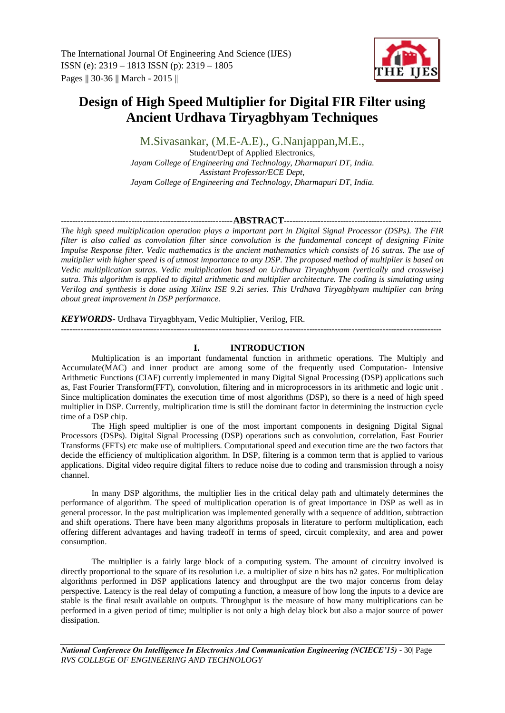# **Design of High Speed Multiplier for Digital FIR Filter using Ancient Urdhava Tiryagbhyam Techniques**

M.Sivasankar, (M.E-A.E)., G.Nanjappan,M.E., Student/Dept of Applied Electronics, *Jayam College of Engineering and Technology, Dharmapuri DT, India. Assistant Professor/ECE Dept, Jayam College of Engineering and Technology, Dharmapuri DT, India.*

## -------------------------------------------------------------**ABSTRACT**--------------------------------------------------------

*The high speed multiplication operation plays a important part in Digital Signal Processor (DSPs). The FIR filter is also called as convolution filter since convolution is the fundamental concept of designing Finite Impulse Response filter. Vedic mathematics is the ancient mathematics which consists of 16 sutras. The use of multiplier with higher speed is of utmost importance to any DSP. The proposed method of multiplier is based on Vedic multiplication sutras. Vedic multiplication based on Urdhava Tiryagbhyam (vertically and crosswise) sutra. This algorithm is applied to digital arithmetic and multiplier architecture. The coding is simulating using Verilog and synthesis is done using Xilinx ISE 9.2i series. This Urdhava Tiryagbhyam multiplier can bring about great improvement in DSP performance.*

# *KEYWORDS***-** Urdhava Tiryagbhyam, Vedic Multiplier, Verilog, FIR.

---------------------------------------------------------------------------------------------------------------------------------------

# **I. INTRODUCTION**

Multiplication is an important fundamental function in arithmetic operations. The Multiply and Accumulate(MAC) and inner product are among some of the frequently used Computation- Intensive Arithmetic Functions (CIAF) currently implemented in many Digital Signal Processing (DSP) applications such as, Fast Fourier Transform(FFT), convolution, filtering and in microprocessors in its arithmetic and logic unit . Since multiplication dominates the execution time of most algorithms (DSP), so there is a need of high speed multiplier in DSP. Currently, multiplication time is still the dominant factor in determining the instruction cycle time of a DSP chip.

The High speed multiplier is one of the most important components in designing Digital Signal Processors (DSPs). Digital Signal Processing (DSP) operations such as convolution, correlation, Fast Fourier Transforms (FFTs) etc make use of multipliers. Computational speed and execution time are the two factors that decide the efficiency of multiplication algorithm. In DSP, filtering is a common term that is applied to various applications. Digital video require digital filters to reduce noise due to coding and transmission through a noisy channel.

In many DSP algorithms, the multiplier lies in the critical delay path and ultimately determines the performance of algorithm. The speed of multiplication operation is of great importance in DSP as well as in general processor. In the past multiplication was implemented generally with a sequence of addition, subtraction and shift operations. There have been many algorithms proposals in literature to perform multiplication, each offering different advantages and having tradeoff in terms of speed, circuit complexity, and area and power consumption.

The multiplier is a fairly large block of a computing system. The amount of circuitry involved is directly proportional to the square of its resolution i.e. a multiplier of size n bits has n2 gates. For multiplication algorithms performed in DSP applications latency and throughput are the two major concerns from delay perspective. Latency is the real delay of computing a function, a measure of how long the inputs to a device are stable is the final result available on outputs. Throughput is the measure of how many multiplications can be performed in a given period of time; multiplier is not only a high delay block but also a major source of power dissipation.

*National Conference On Intelligence In Electronics And Communication Engineering (NCIECE'15) -* 30| Page *RVS COLLEGE OF ENGINEERING AND TECHNOLOGY*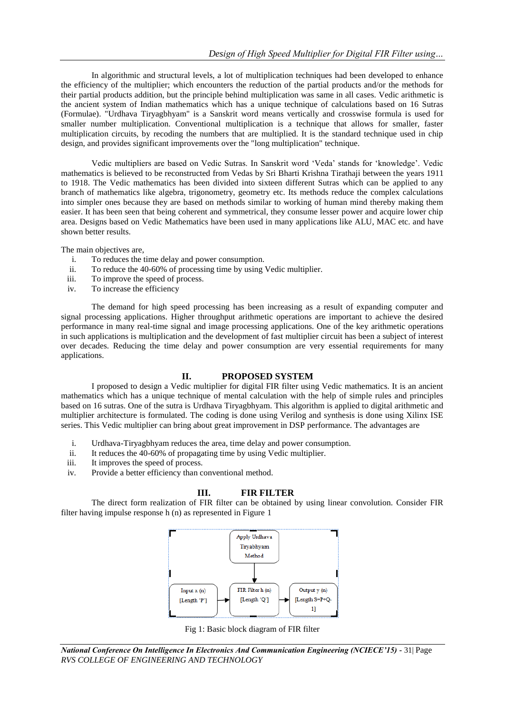In algorithmic and structural levels, a lot of multiplication techniques had been developed to enhance the efficiency of the multiplier; which encounters the reduction of the partial products and/or the methods for their partial products addition, but the principle behind multiplication was same in all cases. Vedic arithmetic is the ancient system of Indian mathematics which has a unique technique of calculations based on 16 Sutras (Formulae). "Urdhava Tiryagbhyam" is a Sanskrit word means vertically and crosswise formula is used for smaller number multiplication. Conventional multiplication is a technique that allows for smaller, faster multiplication circuits, by recoding the numbers that are multiplied. It is the standard technique used in chip design, and provides significant improvements over the "long multiplication" technique.

Vedic multipliers are based on Vedic Sutras. In Sanskrit word 'Veda' stands for 'knowledge'. Vedic mathematics is believed to be reconstructed from Vedas by Sri Bharti Krishna Tirathaji between the years 1911 to 1918. The Vedic mathematics has been divided into sixteen different Sutras which can be applied to any branch of mathematics like algebra, trigonometry, geometry etc. Its methods reduce the complex calculations into simpler ones because they are based on methods similar to working of human mind thereby making them easier. It has been seen that being coherent and symmetrical, they consume lesser power and acquire lower chip area. Designs based on Vedic Mathematics have been used in many applications like ALU, MAC etc. and have shown better results.

The main objectives are,

- i. To reduces the time delay and power consumption.
- ii. To reduce the 40-60% of processing time by using Vedic multiplier.
- iii. To improve the speed of process.
- iv. To increase the efficiency

The demand for high speed processing has been increasing as a result of expanding computer and signal processing applications. Higher throughput arithmetic operations are important to achieve the desired performance in many real-time signal and image processing applications. One of the key arithmetic operations in such applications is multiplication and the development of fast multiplier circuit has been a subject of interest over decades. Reducing the time delay and power consumption are very essential requirements for many applications.

## **II. PROPOSED SYSTEM**

I proposed to design a Vedic multiplier for digital FIR filter using Vedic mathematics. It is an ancient mathematics which has a unique technique of mental calculation with the help of simple rules and principles based on 16 sutras. One of the sutra is Urdhava Tiryagbhyam. This algorithm is applied to digital arithmetic and multiplier architecture is formulated. The coding is done using Verilog and synthesis is done using Xilinx ISE series. This Vedic multiplier can bring about great improvement in DSP performance. The advantages are

- i. Urdhava-Tiryagbhyam reduces the area, time delay and power consumption.
- ii. It reduces the 40-60% of propagating time by using Vedic multiplier.
- iii. It improves the speed of process.
- iv. Provide a better efficiency than conventional method.

#### **III. FIR FILTER**

The direct form realization of FIR filter can be obtained by using linear convolution. Consider FIR filter having impulse response h (n) as represented in Figure 1



Fig 1: Basic block diagram of FIR filter

*National Conference On Intelligence In Electronics And Communication Engineering (NCIECE'15) -* 31| Page *RVS COLLEGE OF ENGINEERING AND TECHNOLOGY*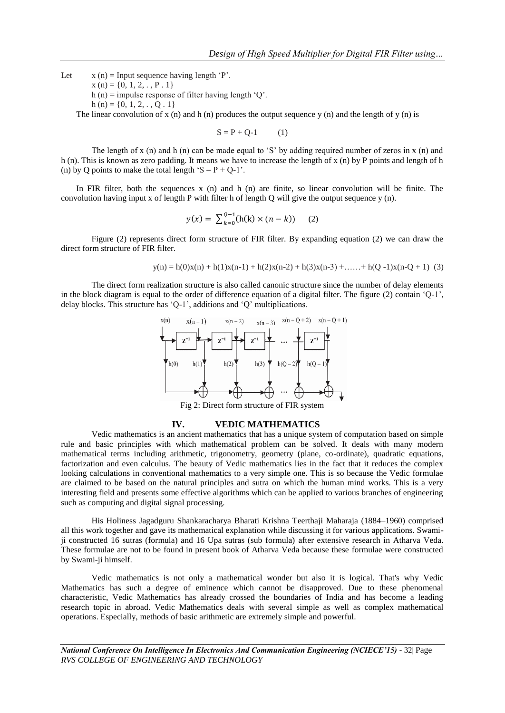Let  $x(n) = Input sequence having length 'P'.$  $x(n) = \{0, 1, 2, \ldots, P \cdot 1\}$ 

h (n) = impulse response of filter having length 'Q'.

h (n) = {0, 1, 2, . , O . 1}

The linear convolution of x (n) and h (n) produces the output sequence y (n) and the length of y (n) is

 $S = P + Q-1$  (1)

The length of x (n) and h (n) can be made equal to 'S' by adding required number of zeros in x (n) and h (n). This is known as zero padding. It means we have to increase the length of x (n) by P points and length of h (n) by Q points to make the total length 'S =  $P + Q-1$ '.

In FIR filter, both the sequences  $x$  (n) and h (n) are finite, so linear convolution will be finite. The convolution having input x of length P with filter h of length Q will give the output sequence y (n).

$$
y(x) = \sum_{k=0}^{Q-1} (h(k) \times (n-k)) \quad (2)
$$

Figure (2) represents direct form structure of FIR filter. By expanding equation (2) we can draw the direct form structure of FIR filter.

$$
y(n) = h(0)x(n) + h(1)x(n-1) + h(2)x(n-2) + h(3)x(n-3) + \dots + h(Q-1)x(n-Q+1)
$$
 (3)

The direct form realization structure is also called canonic structure since the number of delay elements in the block diagram is equal to the order of difference equation of a digital filter. The figure (2) contain  $[Q-1]$ , delay blocks. This structure has 'Q-1', additions and 'Q' multiplications.



Fig 2: Direct form structure of FIR system

#### **IV. VEDIC MATHEMATICS**

Vedic mathematics is an ancient mathematics that has a unique system of computation based on simple rule and basic principles with which mathematical problem can be solved. It deals with many modern mathematical terms including arithmetic, trigonometry, geometry (plane, co-ordinate), quadratic equations, factorization and even calculus. The beauty of Vedic mathematics lies in the fact that it reduces the complex looking calculations in conventional mathematics to a very simple one. This is so because the Vedic formulae are claimed to be based on the natural principles and sutra on which the human mind works. This is a very interesting field and presents some effective algorithms which can be applied to various branches of engineering such as computing and digital signal processing.

His Holiness Jagadguru Shankaracharya Bharati Krishna Teerthaji Maharaja (1884–1960) comprised all this work together and gave its mathematical explanation while discussing it for various applications. Swamiji constructed 16 sutras (formula) and 16 Upa sutras (sub formula) after extensive research in Atharva Veda. These formulae are not to be found in present book of Atharva Veda because these formulae were constructed by Swami-ji himself.

Vedic mathematics is not only a mathematical wonder but also it is logical. That's why Vedic Mathematics has such a degree of eminence which cannot be disapproved. Due to these phenomenal characteristic, Vedic Mathematics has already crossed the boundaries of India and has become a leading research topic in abroad. Vedic Mathematics deals with several simple as well as complex mathematical operations. Especially, methods of basic arithmetic are extremely simple and powerful.

*National Conference On Intelligence In Electronics And Communication Engineering (NCIECE'15) -* 32| Page *RVS COLLEGE OF ENGINEERING AND TECHNOLOGY*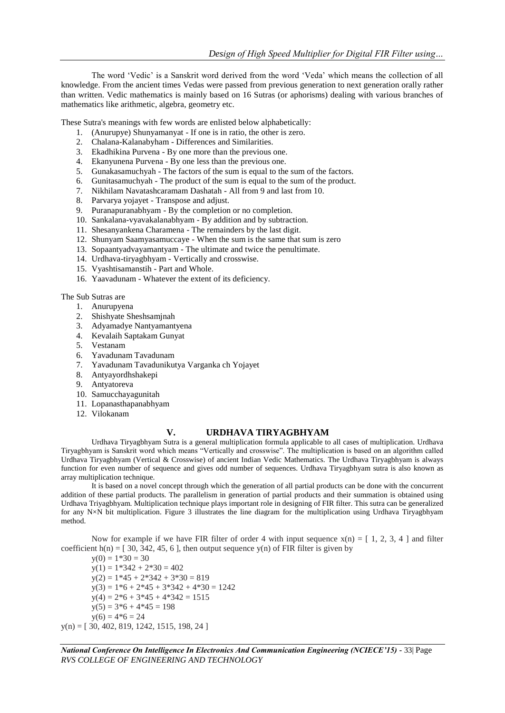The word 'Vedic' is a Sanskrit word derived from the word 'Veda' which means the collection of all knowledge. From the ancient times Vedas were passed from previous generation to next generation orally rather than written. Vedic mathematics is mainly based on 16 Sutras (or aphorisms) dealing with various branches of mathematics like arithmetic, algebra, geometry etc.

These Sutra's meanings with few words are enlisted below alphabetically:

- 1. (Anurupye) Shunyamanyat If one is in ratio, the other is zero.
- 2. Chalana-Kalanabyham Differences and Similarities.
- 3. Ekadhikina Purvena By one more than the previous one.
- 4. Ekanyunena Purvena By one less than the previous one.
- 5. Gunakasamuchyah The factors of the sum is equal to the sum of the factors.
- 6. Gunitasamuchyah The product of the sum is equal to the sum of the product.
- 7. Nikhilam Navatashcaramam Dashatah All from 9 and last from 10.
- 8. Parvarya yojayet Transpose and adjust.
- 9. Puranapuranabhyam By the completion or no completion.
- 10. Sankalana-vyavakalanabhyam By addition and by subtraction.
- 11. Shesanyankena Charamena The remainders by the last digit.
- 12. Shunyam Saamyasamuccaye When the sum is the same that sum is zero
- 13. Sopaantyadvayamantyam The ultimate and twice the penultimate.
- 14. Urdhava-tiryagbhyam Vertically and crosswise.
- 15. Vyashtisamanstih Part and Whole.
- 16. Yaavadunam Whatever the extent of its deficiency.

The Sub Sutras are

- 1. Anurupyena
- 2. Shishyate Sheshsamjnah
- 3. Adyamadye Nantyamantyena
- 4. Kevalaih Saptakam Gunyat
- 5. Vestanam
- 6. Yavadunam Tavadunam
- 7. Yavadunam Tavadunikutya Varganka ch Yojayet
- 8. Antyayordhshakepi
- 9. Antyatoreva
- 10. Samucchayagunitah
- 11. Lopanasthapanabhyam
- 12. Vilokanam

#### **V. URDHAVA TIRYAGBHYAM**

Urdhava Tiryagbhyam Sutra is a general multiplication formula applicable to all cases of multiplication. Urdhava Tiryagbhyam is Sanskrit word which means "Vertically and crosswise". The multiplication is based on an algorithm called Urdhava Tiryagbhyam (Vertical & Crosswise) of ancient Indian Vedic Mathematics. The Urdhava Tiryagbhyam is always function for even number of sequence and gives odd number of sequences. Urdhava Tiryagbhyam sutra is also known as array multiplication technique.

It is based on a novel concept through which the generation of all partial products can be done with the concurrent addition of these partial products. The parallelism in generation of partial products and their summation is obtained using Urdhava Triyagbhyam. Multiplication technique plays important role in designing of FIR filter. This sutra can be generalized for any N×N bit multiplication. Figure 3 illustrates the line diagram for the multiplication using Urdhava Tiryagbhyam method.

Now for example if we have FIR filter of order 4 with input sequence  $x(n) = [1, 2, 3, 4]$  and filter coefficient  $h(n) = [30, 342, 45, 6]$ , then output sequence y(n) of FIR filter is given by

 $y(0) = 1*30 = 30$  $y(1) = 1*342 + 2*30 = 402$  $y(2) = 1*45 + 2*342 + 3*30 = 819$  $y(3) = 1*6 + 2*45 + 3*342 + 4*30 = 1242$  $y(4) = 2*6 + 3*45 + 4*342 = 1515$  $y(5) = 3*6 + 4*45 = 198$  $y(6) = 4*6 = 24$  $y(n) = [30, 402, 819, 1242, 1515, 198, 24]$ 

*National Conference On Intelligence In Electronics And Communication Engineering (NCIECE'15) -* 33| Page *RVS COLLEGE OF ENGINEERING AND TECHNOLOGY*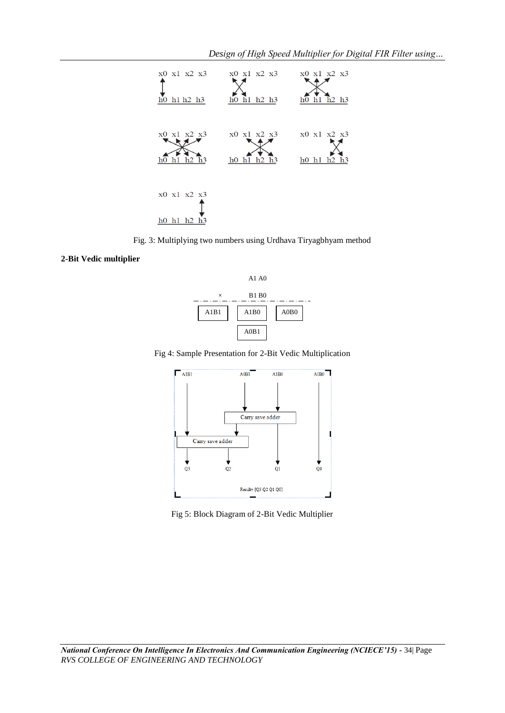

Fig. 3: Multiplying two numbers using Urdhava Tiryagbhyam method

## **2-Bit Vedic multiplie[r](http://ieeexplore.ieee.org/ielx7/6766412/6776904/6777002/html/img/6777002-fig-1-large.gif)**



Fig 4: Sample Presentation for 2-Bit Vedic Multiplication



Fig 5: Block Diagram of 2-Bit Vedic Multiplier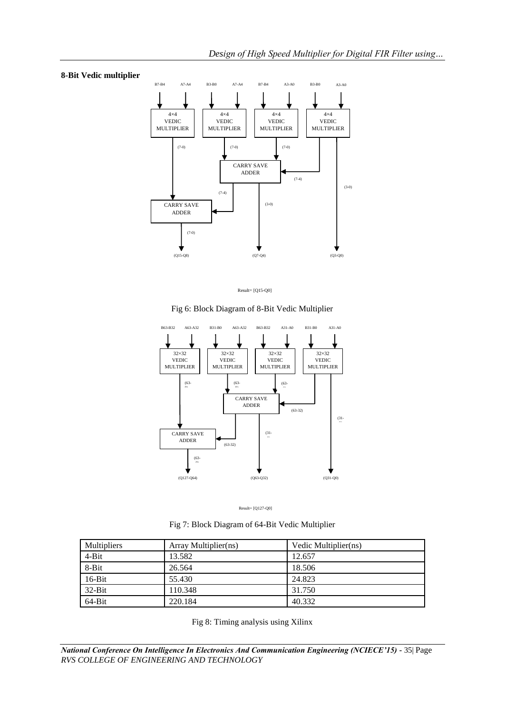## **8-Bit Vedic multiplier**



Result= [Q15-Q0]

Fig 6: Block Diagram of 8-Bit Vedic Multiplier





Fig 7: Block Diagram of 64-Bit Vedic Multiplier

| <b>Multipliers</b> | Array Multiplier(ns) | Vedic Multiplier(ns) |
|--------------------|----------------------|----------------------|
| $4-Bit$            | 13.582               | 12.657               |
| 8-Bit              | 26.564               | 18.506               |
| $16-Bit$           | 55.430               | 24.823               |
| $32-Bit$           | 110.348              | 31.750               |
| $64 - Bit$         | 220.184              | 40.332               |

Fig 8: Timing analysis using Xilinx

*National Conference On Intelligence In Electronics And Communication Engineering (NCIECE'15) -* 35| Page *RVS COLLEGE OF ENGINEERING AND TECHNOLOGY*